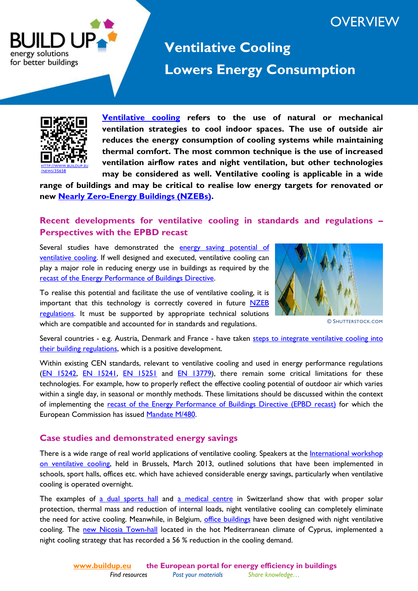## **OVERVIEW**



# **Ventilative Cooling [Lowers Energy Consumption](http://www.buildup.eu/)**



**[Ventilative cooling](http://www.buildup.eu/communities/ventilativecooling) refers to the use of natural or mechanical ventilation strategies to cool indoor spaces. The use of outside air reduces the energy consumption of cooling systems while maintaining thermal comfort. The most common technique is the use of increased ventilation airflow rates and night ventilation, but other technologies may be considered as well. Ventilative cooling is applicable in a wide** 

**range of buildings and may be critical to realise low energy targets for renovated or new [Nearly Zero-Energy Buildings \(NZEBs\).](http://www.buildup.eu/communities/nzebs)**

### **Recent developments for ventilative cooling in standards and regulations – Perspectives with the EPBD recast**

Several studies have demonstrated the energy saving potential of [ventilative cooling.](http://www.buildup.eu/news/36845) If well designed and executed, ventilative cooling can play a major role in reducing energy use in buildings as required by the [recast of the Energy Performance of Buildings Directive.](http://www.buildup.eu/publications/9631)

To realise this potential and facilitate the use of ventilative cooling, it is important that this technology is correctly covered in future  $NZEB$ [regulations.](http://www.buildup.eu/publications/24935) It must be supported by appropriate technical solutions which are compatible and accounted for in standards and regulations.



© SHUTTERSTOCK.COM

Several countries - e.g. Austria, Denmark and France - have taken steps to integrate ventilative cooling into [their building regulations](http://www.buildup.eu/news/36845), which is a positive development.

Within existing CEN standards, relevant to ventilative cooling and used in energy performance regulations [\(EN 15242,](http://www.buildup.eu/publications/1174) [EN 15241,](http://www.buildup.eu/publications/1173) [EN 15251](http://www.buildup.eu/publications/30706) and [EN 13779\)](http://www.buildup.eu/publications/1172), there remain some critical limitations for these technologies. For example, how to properly reflect the effective cooling potential of outdoor air which varies within a single day, in seasonal or monthly methods. These limitations should be discussed within the context of implementing the [recast of the Energy Performance of Buildings Directive \(EPBD recast\)](http://www.buildup.eu/publications/9631) for which the European Commission has issued [Mandate M/480.](http://www.buildup.eu/publications/25366)

#### **Case studies and demonstrated energy savings**

There is a wide range of real world applications of ventilative cooling. Speakers at the [International workshop](http://www.buildup.eu/events/34138)  [on ventilative cooling,](http://www.buildup.eu/events/34138) held in Brussels, March 2013, outlined solutions that have been implemented in schools, sport halls, offices etc. which have achieved considerable energy savings, particularly when ventilative cooling is operated overnight.

The examples of [a dual sports hall](http://www.buildup.eu/cases/36886) and [a medical centre](http://www.buildup.eu/cases/36900) in Switzerland show that with proper solar protection, thermal mass and reduction of internal loads, night ventilative cooling can completely eliminate the need for active cooling. Meanwhile, in Belgium, [office buildings](http://www.buildup.eu/cases/36893) have been designed with night ventilative cooling. The [new Nicosia Town-hall](http://www.buildup.eu/cases/36887) located in the hot Mediterranean climate of Cyprus, implemented a night cooling strategy that has recorded a 56 % reduction in the cooling demand.